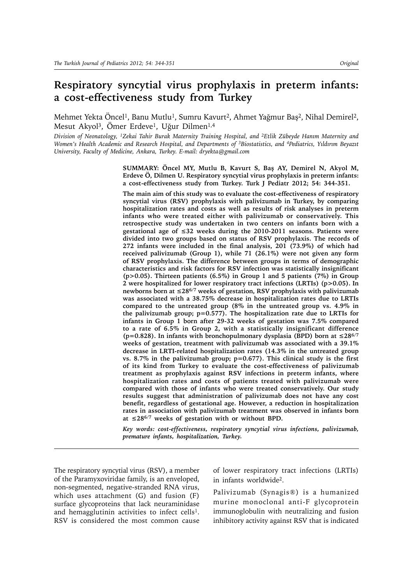# **Respiratory syncytial virus prophylaxis in preterm infants: a cost-effectiveness study from Turkey**

Mehmet Yekta Öncel<sup>1</sup>, Banu Mutlu<sup>1</sup>, Sumru Kavurt<sup>2</sup>, Ahmet Yağmur Baş<sup>2</sup>, Nihal Demirel<sup>2</sup>, Mesut Akyol<sup>3</sup>, Ömer Erdeve<sup>1</sup>, Uğur Dilmen<sup>1,4</sup>

*Division of Neonatology, 1Zekai Tahir Burak Maternity Training Hospital, and 2Etlik Zübeyde Hanım Maternity and Women's Health Academic and Research Hospital, and Departments of 3Biostatistics, and 4Pediatrics, Yıldırım Beyazıt University, Faculty of Medicine, Ankara, Turkey. E-mail: dryekta@gmail.com*

> **SUMMARY: Öncel MY, Mutlu B, Kavurt S, Baş AY, Demirel N, Akyol M, Erdeve Ö, Dilmen U. Respiratory syncytial virus prophylaxis in preterm infants: a cost-effectiveness study from Turkey. Turk J Pediatr 2012; 54: 344-351.**

> **The main aim of this study was to evaluate the cost-effectiveness of respiratory syncytial virus (RSV) prophylaxis with palivizumab in Turkey, by comparing hospitalization rates and costs as well as results of risk analyses in preterm infants who were treated either with palivizumab or conservatively. This retrospective study was undertaken in two centers on infants born with a gestational age of ≤32 weeks during the 2010-2011 seasons. Patients were divided into two groups based on status of RSV prophylaxis. The records of 272 infants were included in the final analysis, 201 (73.9%) of which had received palivizumab (Group 1), while 71 (26.1%) were not given any form of RSV prophylaxis. The difference between groups in terms of demographic characteristics and risk factors for RSV infection was statistically insignificant (p>0.05). Thirteen patients (6.5%) in Group 1 and 5 patients (7%) in Group 2 were hospitalized for lower respiratory tract infections (LRTIs) (p>0.05). In newborns born at ≤286/7 weeks of gestation, RSV prophylaxis with palivizumab was associated with a 38.75% decrease in hospitalization rates due to LRTIs compared to the untreated group (8% in the untreated group vs. 4.9% in the palivizumab group; p=0.577). The hospitalization rate due to LRTIs for infants in Group 1 born after 29-32 weeks of gestation was 7.5% compared to a rate of 6.5% in Group 2, with a statistically insignificant difference (p=0.828). In infants with bronchopulmonary dysplasia (BPD) born at ≤286/7 weeks of gestation, treatment with palivizumab was associated with a 39.1% decrease in LRTI-related hospitalization rates (14.3% in the untreated group vs. 8.7% in the palivizumab group; p=0.677). This clinical study is the first of its kind from Turkey to evaluate the cost-effectiveness of palivizumab treatment as prophylaxis against RSV infections in preterm infants, where hospitalization rates and costs of patients treated with palivizumab were compared with those of infants who were treated conservatively. Our study results suggest that administration of palivizumab does not have any cost benefit, regardless of gestational age. However, a reduction in hospitalization rates in association with palivizumab treatment was observed in infants born at ≤286/7 weeks of gestation with or without BPD.**

> *Key words: cost-effectiveness, respiratory syncytial virus infections, palivizumab, premature infants, hospitalization, Turkey.*

The respiratory syncytial virus (RSV), a member of the Paramyxoviridae family, is an enveloped, non-segmented, negative-stranded RNA virus, which uses attachment (G) and fusion (F) surface glycoproteins that lack neuraminidase and hemagglutinin activities to infect cells<sup>1</sup>. RSV is considered the most common cause of lower respiratory tract infections (LRTIs) in infants worldwide2.

Palivizumab (Synagis®) is a humanized murine monoclonal anti-F glycoprotein immunoglobulin with neutralizing and fusion inhibitory activity against RSV that is indicated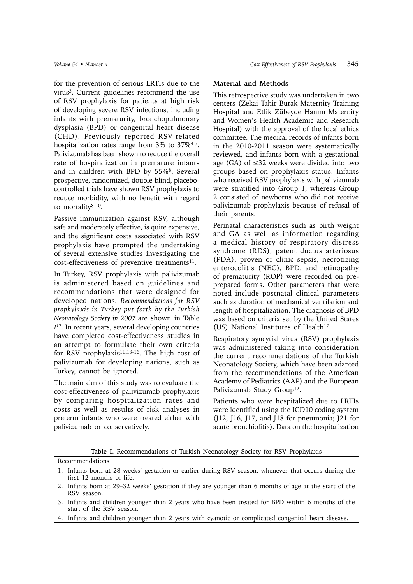for the prevention of serious LRTIs due to the virus3. Current guidelines recommend the use of RSV prophylaxis for patients at high risk of developing severe RSV infections, including infants with prematurity, bronchopulmonary dysplasia (BPD) or congenital heart disease (CHD). Previously reported RSV-related hospitalization rates range from 3% to 37%4-7. Palivizumab has been shown to reduce the overall rate of hospitalization in premature infants and in children with BPD by 55%<sup>8</sup>. Several prospective, randomized, double-blind, placebocontrolled trials have shown RSV prophylaxis to reduce morbidity, with no benefit with regard to mortality8-10.

Passive immunization against RSV, although safe and moderately effective, is quite expensive, and the significant costs associated with RSV prophylaxis have prompted the undertaking of several extensive studies investigating the cost-effectiveness of preventive treatments $^{11}$ .

In Turkey, RSV prophylaxis with palivizumab is administered based on guidelines and recommendations that were designed for developed nations. *Recommendations for RSV prophylaxis in Turkey put forth by the Turkish Neonatology Society in 2007* are shown in Table *I12.* In recent years, several developing countries have completed cost-effectiveness studies in an attempt to formulate their own criteria for RSV prophylaxis<sup>11,13-16</sup>. The high cost of palivizumab for developing nations, such as Turkey, cannot be ignored.

The main aim of this study was to evaluate the cost-effectiveness of palivizumab prophylaxis by comparing hospitalization rates and costs as well as results of risk analyses in preterm infants who were treated either with palivizumab or conservatively.

## **Material and Methods**

This retrospective study was undertaken in two centers (Zekai Tahir Burak Maternity Training Hospital and Etlik Zübeyde Hanım Maternity and Women's Health Academic and Research Hospital) with the approval of the local ethics committee. The medical records of infants born in the 2010-2011 season were systematically reviewed, and infants born with a gestational age (GA) of  $\leq$ 32 weeks were divided into two groups based on prophylaxis status. Infants who received RSV prophylaxis with palivizumab were stratified into Group 1, whereas Group 2 consisted of newborns who did not receive palivizumab prophylaxis because of refusal of their parents.

Perinatal characteristics such as birth weight and GA as well as information regarding a medical history of respiratory distress syndrome (RDS), patent ductus arteriosus (PDA), proven or clinic sepsis, necrotizing enterocolitis (NEC), BPD, and retinopathy of prematurity (ROP) were recorded on preprepared forms. Other parameters that were noted include postnatal clinical parameters such as duration of mechanical ventilation and length of hospitalization. The diagnosis of BPD was based on criteria set by the United States (US) National Institutes of Health<sup>17</sup>.

Respiratory syncytial virus (RSV) prophylaxis was administered taking into consideration the current recommendations of the Turkish Neonatology Society, which have been adapted from the recommendations of the American Academy of Pediatrics (AAP) and the European Palivizumab Study Group<sup>12</sup>.

Patients who were hospitalized due to LRTIs were identified using the ICD10 coding system (J12, J16, J17, and J18 for pneumonia; J21 for acute bronchiolitis). Data on the hospitalization

**Table I.** Recommendations of Turkish Neonatology Society for RSV Prophylaxis

| Recommendations                                                                                                                  |
|----------------------------------------------------------------------------------------------------------------------------------|
| 1. Infants born at 28 weeks' gestation or earlier during RSV season, whenever that occurs during the<br>first 12 months of life. |
| 2. Infants born at 29–32 weeks' gestation if they are younger than 6 months of age at the start of the<br>RSV season.            |

<sup>3.</sup> Infants and children younger than 2 years who have been treated for BPD within 6 months of the start of the RSV season.

4. Infants and children younger than 2 years with cyanotic or complicated congenital heart disease.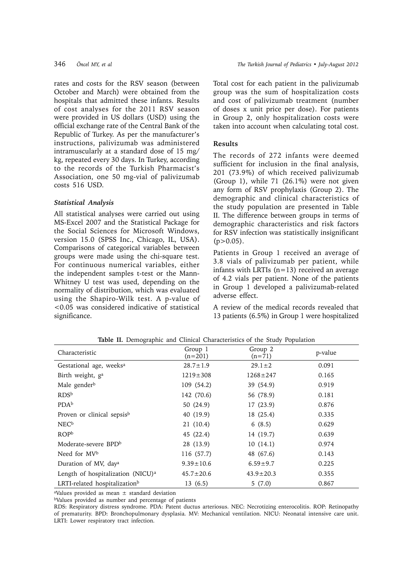rates and costs for the RSV season (between October and March) were obtained from the hospitals that admitted these infants. Results of cost analyses for the 2011 RSV season were provided in US dollars (USD) using the official exchange rate of the Central Bank of the Republic of Turkey. As per the manufacturer's instructions, palivizumab was administered intramuscularly at a standard dose of 15 mg/ kg, repeated every 30 days. In Turkey, according to the records of the Turkish Pharmacist's Association, one 50 mg-vial of palivizumab costs 516 USD.

### *Statistical Analysis*

All statistical analyses were carried out using MS-Excel 2007 and the Statistical Package for the Social Sciences for Microsoft Windows, version 15.0 (SPSS Inc., Chicago, IL, USA). Comparisons of categorical variables between groups were made using the chi-square test. For continuous numerical variables, either the independent samples t-test or the Mann-Whitney U test was used, depending on the normality of distribution, which was evaluated using the Shapiro-Wilk test. A p-value of <0.05 was considered indicative of statistical significance.

Total cost for each patient in the palivizumab group was the sum of hospitalization costs and cost of palivizumab treatment (number of doses x unit price per dose). For patients in Group 2, only hospitalization costs were taken into account when calculating total cost.

#### **Results**

The records of 272 infants were deemed sufficient for inclusion in the final analysis, 201 (73.9%) of which received palivizumab (Group 1), while 71 (26.1%) were not given any form of RSV prophylaxis (Group 2). The demographic and clinical characteristics of the study population are presented in Table II. The difference between groups in terms of demographic characteristics and risk factors for RSV infection was statistically insignificant  $(p>0.05)$ .

Patients in Group 1 received an average of 3.8 vials of palivizumab per patient, while infants with LRTIs  $(n=13)$  received an average of 4.2 vials per patient. None of the patients in Group 1 developed a palivizumab-related adverse effect.

A review of the medical records revealed that 13 patients (6.5%) in Group 1 were hospitalized

| Characteristic                                | Group 1<br>$(n=201)$ | Group 2<br>$(n=71)$ | p-value |
|-----------------------------------------------|----------------------|---------------------|---------|
| Gestational age, weeks <sup>a</sup>           | $28.7 \pm 1.9$       | $29.1 \pm 2$        | 0.091   |
| Birth weight, g <sup>a</sup>                  | $1219 \pm 308$       | $1268 \pm 247$      | 0.165   |
| Male gender <sup>b</sup>                      | 109 (54.2)           | 39 (54.9)           | 0.919   |
| RDS <sup>b</sup>                              | 142 (70.6)           | 56 (78.9)           | 0.181   |
| PDAb                                          | 50 (24.9)            | 17(23.9)            | 0.876   |
| Proven or clinical sepsisb                    | 40 (19.9)            | 18 (25.4)           | 0.335   |
| NEC <sup>b</sup>                              | 21 (10.4)            | 6(8.5)              | 0.629   |
| <b>ROPb</b>                                   | 45 (22.4)            | 14 (19.7)           | 0.639   |
| Moderate-severe BPD <sup>b</sup>              | 28 (13.9)            | 10(14.1)            | 0.974   |
| Need for MVb                                  | 116 (57.7)           | 48 (67.6)           | 0.143   |
| Duration of MV, day <sup>a</sup>              | $9.39 \pm 10.6$      | $6.59 \pm 9.7$      | 0.225   |
| Length of hospitalization (NICU) <sup>a</sup> | $45.7 \pm 20.6$      | $43.9 \pm 20.3$     | 0.355   |
| LRTI-related hospitalization <sup>b</sup>     | 13(6.5)              | 5(7.0)              | 0.867   |

**Table II.** Demographic and Clinical Characteristics of the Study Population

<sup>a</sup>Values provided as mean  $\pm$  standard deviation

bValues provided as number and percentage of patients

RDS: Respiratory distress syndrome. PDA: Patent ductus arteriosus. NEC: Necrotizing enterocolitis. ROP: Retinopathy of prematurity. BPD: Bronchopulmonary dysplasia. MV: Mechanical ventilation. NICU: Neonatal intensive care unit. LRTI: Lower respiratory tract infection.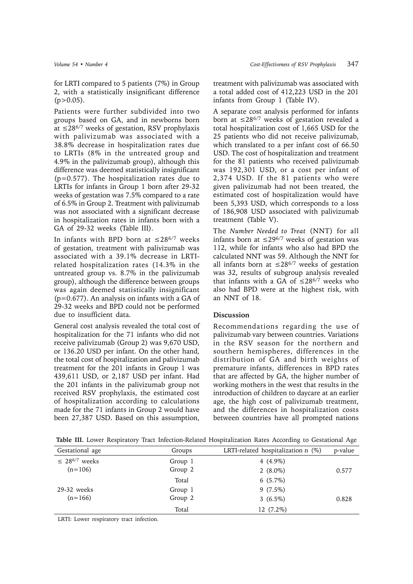for LRTI compared to 5 patients (7%) in Group 2, with a statistically insignificant difference  $(p>0.05)$ .

Patients were further subdivided into two groups based on GA, and in newborns born at  $\leq$ 28<sup>6/7</sup> weeks of gestation, RSV prophylaxis with palivizumab was associated with a 38.8% decrease in hospitalization rates due to LRTIs (8% in the untreated group and 4.9% in the palivizumab group), although this difference was deemed statistically insignificant (p=0.577). The hospitalization rates due to LRTIs for infants in Group 1 born after 29-32 weeks of gestation was 7.5% compared to a rate of 6.5% in Group 2. Treatment with palivizumab was not associated with a significant decrease in hospitalization rates in infants born with a GA of 29-32 weeks (Table III).

In infants with BPD born at  $\leq 28^{6/7}$  weeks of gestation, treatment with palivizumab was associated with a 39.1% decrease in LRTIrelated hospitalization rates (14.3% in the untreated group vs. 8.7% in the palivizumab group), although the difference between groups was again deemed statistically insignificant (p=0.677). An analysis on infants with a GA of 29-32 weeks and BPD could not be performed due to insufficient data.

General cost analysis revealed the total cost of hospitalization for the 71 infants who did not receive palivizumab (Group 2) was 9,670 USD, or 136.20 USD per infant. On the other hand, the total cost of hospitalization and palivizumab treatment for the 201 infants in Group 1 was 439,611 USD, or 2,187 USD per infant. Had the 201 infants in the palivizumab group not received RSV prophylaxis, the estimated cost of hospitalization according to calculations made for the 71 infants in Group 2 would have been 27,387 USD. Based on this assumption,

treatment with palivizumab was associated with a total added cost of 412,223 USD in the 201 infants from Group 1 (Table IV).

A separate cost analysis performed for infants born at  $\leq$ 28<sup>6/7</sup> weeks of gestation revealed a total hospitalization cost of 1,665 USD for the 25 patients who did not receive palivizumab, which translated to a per infant cost of 66.50 USD. The cost of hospitalization and treatment for the 81 patients who received palivizumab was 192,301 USD, or a cost per infant of 2,374 USD. If the 81 patients who were given palivizumab had not been treated, the estimated cost of hospitalization would have been 5,393 USD, which corresponds to a loss of 186,908 USD associated with palivizumab treatment (Table V).

The *Number Needed to Treat* (NNT) for all infants born at ≤29<sup>6/7</sup> weeks of gestation was 112, while for infants who also had BPD the calculated NNT was 59. Although the NNT for all infants born at ≤28<sup>6/7</sup> weeks of gestation was 32, results of subgroup analysis revealed that infants with a GA of  $\leq 28^{6/7}$  weeks who also had BPD were at the highest risk, with an NNT of 18.

## **Discussion**

Recommendations regarding the use of palivizumab vary between countries. Variations in the RSV season for the northern and southern hemispheres, differences in the distribution of GA and birth weights of premature infants, differences in BPD rates that are affected by GA, the higher number of working mothers in the west that results in the introduction of children to daycare at an earlier age, the high cost of palivizumab treatment, and the differences in hospitalization costs between countries have all prompted nations

| Table III. Lower Respiratory Tract Infection-Related Hospitalization Rates According to Gestational Age |  |  |  |  |
|---------------------------------------------------------------------------------------------------------|--|--|--|--|
|---------------------------------------------------------------------------------------------------------|--|--|--|--|

| Gestational age                | Groups  | LRTI-related hospitalization $n$ (%) | p-value |
|--------------------------------|---------|--------------------------------------|---------|
| $\leq$ 28 <sup>6/7</sup> weeks | Group 1 | 4 $(4.9\%)$                          |         |
| $(n=106)$                      | Group 2 | 2 $(8.0\%)$                          | 0.577   |
|                                | Total   | $6(5.7\%)$                           |         |
| $29-32$ weeks                  | Group 1 | $9(7.5\%)$                           |         |
| $(n=166)$                      | Group 2 | 3 $(6.5\%)$                          | 0.828   |
|                                | Total   | 12 (7.2%)                            |         |

LRTI: Lower respiratory tract infection.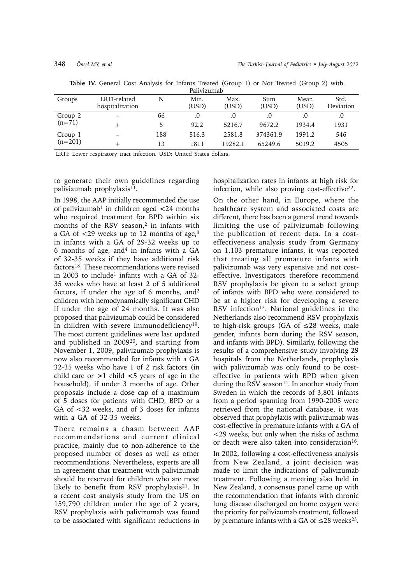| Groups    | LRTI-related<br>hospitalization | N   | Min.<br>(USD) | Max.<br>(USD) | Sum<br>(USD) | Mean<br>(USD) | Std.<br>Deviation |
|-----------|---------------------------------|-----|---------------|---------------|--------------|---------------|-------------------|
| Group 2   |                                 | 66  | .0            |               |              | .0            | .0                |
| $(n=71)$  |                                 | 5   | 92.2          | 5216.7        | 9672.2       | 1934.4        | 1931              |
| Group 1   |                                 | 188 | 516.3         | 2581.8        | 374361.9     | 1991.2        | 546               |
| $(n=201)$ |                                 | 13  | 1811          | 19282.1       | 65249.6      | 5019.2        | 4505              |

**Table IV.** General Cost Analysis for Infants Treated (Group 1) or Not Treated (Group 2) with

LRTI: Lower respiratory tract infection. USD: United States dollars.

to generate their own guidelines regarding palivizumab prophylaxis<sup>11</sup>.

In 1998, the AAP initially recommended the use of palivizumab1 in children aged **<**24 months who required treatment for BPD within six months of the RSV season,<sup>2</sup> in infants with a GA of <29 weeks up to 12 months of age,3 in infants with a GA of 29-32 weeks up to 6 months of age, and<sup>4</sup> in infants with a  $GA$ of 32-35 weeks if they have additional risk factors18. These recommendations were revised in 2003 to include<sup>1</sup> infants with a GA of 32-35 weeks who have at least 2 of 5 additional factors, if under the age of 6 months, and2 children with hemodynamically significant CHD if under the age of 24 months. It was also proposed that palivizumab could be considered in children with severe immunodeficiency<sup>19</sup>. The most current guidelines were last updated and published in 200920, and starting from November 1, 2009, palivizumab prophylaxis is now also recommended for infants with a GA 32-35 weeks who have 1 of 2 risk factors (in child care or **>**1 child **<**5 years of age in the household), if under 3 months of age. Other proposals include a dose cap of a maximum of 5 doses for patients with CHD, BPD or a GA of <32 weeks, and of 3 doses for infants with a GA of 32-35 weeks.

There remains a chasm between AAP recommendations and current clinical practice, mainly due to non-adherence to the proposed number of doses as well as other recommendations. Nevertheless, experts are all in agreement that treatment with palivizumab should be reserved for children who are most likely to benefit from RSV prophylaxis<sup>21</sup>. In a recent cost analysis study from the US on 159,790 children under the age of 2 years, RSV prophylaxis with palivizumab was found to be associated with significant reductions in

hospitalization rates in infants at high risk for infection, while also proving cost-effective<sup>22</sup>.

On the other hand, in Europe, where the healthcare system and associated costs are different, there has been a general trend towards limiting the use of palivizumab following the publication of recent data. In a costeffectiveness analysis study from Germany on 1,103 premature infants, it was reported that treating all premature infants with palivizumab was very expensive and not costeffective. Investigators therefore recommend RSV prophylaxis be given to a select group of infants with BPD who were considered to be at a higher risk for developing a severe RSV infection<sup>13</sup>. National guidelines in the Netherlands also recommend RSV prophylaxis to high-risk groups (GA of  $\leq$ 28 weeks, male gender, infants born during the RSV season, and infants with BPD). Similarly, following the results of a comprehensive study involving 29 hospitals from the Netherlands, prophylaxis with palivizumab was only found to be costeffective in patients with BPD when given during the RSV season<sup>14</sup>. In another study from Sweden in which the records of 3,801 infants from a period spanning from 1990-2005 were retrieved from the national database, it was observed that prophylaxis with palivizumab was cost-effective in premature infants with a GA of <29 weeks, but only when the risks of asthma or death were also taken into consideration<sup>16</sup>.

In 2002, following a cost-effectiveness analysis from New Zealand, a joint decision was made to limit the indications of palivizumab treatment. Following a meeting also held in New Zealand, a consensus panel came up with the recommendation that infants with chronic lung disease discharged on home oxygen were the priority for palivizumab treatment, followed by premature infants with a GA of  $\leq$  28 weeks<sup>23</sup>.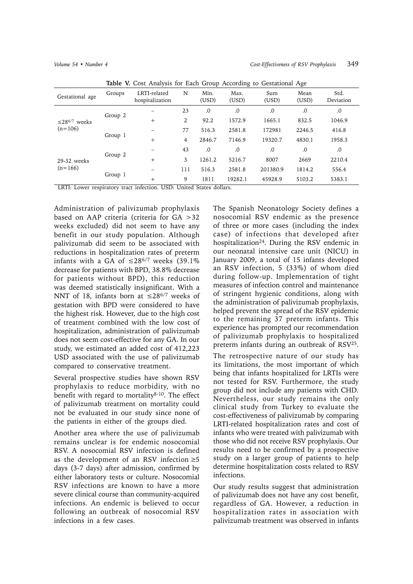| Table v. Cost Amarysis for Each Group According to Gestational Age |                                 |                      |               |               |              |               |                    |
|--------------------------------------------------------------------|---------------------------------|----------------------|---------------|---------------|--------------|---------------|--------------------|
| Groups                                                             | LRTI-related<br>hospitalization | N                    | Min.<br>(USD) | Max.<br>(USD) | Sum<br>(USD) | Mean<br>(USD) | Std.<br>Deviation  |
| Group 2                                                            |                                 | 23                   | .0            | .0            | .0           | .0            | .0                 |
|                                                                    | $+$                             | 2                    | 92.2          | 1572.9        | 1665.1       | 832.5         | 1046.9             |
| Group 1                                                            |                                 | 77                   | 516.3         | 2581.8        | 172981       | 2246.5        | 416.8              |
|                                                                    | $^{+}$                          | $\overline{4}$       | 2846.7        | 7146.9        | 19320.7      | 4830.1        | 1958.3             |
| Group 2                                                            |                                 | 43                   | .0            | 0.0           | .0           | .0            | .0                 |
|                                                                    | $^{+}$                          | 3                    | 1261.2        | 5216.7        | 8007         | 2669          | 2210.4             |
| Group 1                                                            |                                 | 111                  | 516.3         | 2581.8        | 201380.9     | 1814.2        | 556.4              |
|                                                                    | $+$                             | 9                    | 1811          | 19282.1       | 45928.9      | 5103.2        | 5383.1             |
|                                                                    |                                 | $\sim$ $\sim$ $\sim$ |               |               |              |               | .<br>$\sim$ $\sim$ |

**Table V.** Cost Analysis for Each Group According to Gestational Age

LRTI: Lower respiratory tract infection. USD: United States dollars.

Administration of palivizumab prophylaxis based on AAP criteria (criteria for GA >32 weeks excluded) did not seem to have any benefit in our study population. Although palivizumab did seem to be associated with reductions in hospitalization rates of preterm infants with a GA of  $\leq 28^{6/7}$  weeks (39.1%) decrease for patients with BPD, 38.8% decrease for patients without BPD), this reduction was deemed statistically insignificant. With a NNT of 18, infants born at  $\leq 28^{6/7}$  weeks of gestation with BPD were considered to have the highest risk. However, due to the high cost of treatment combined with the low cost of hospitalization, administration of palivizumab does not seem cost-effective for any GA. In our study, we estimated an added cost of 412,223 USD associated with the use of palivizumab compared to conservative treatment.

Several prospective studies have shown RSV prophylaxis to reduce morbidity, with no benefit with regard to mortality $8-10$ . The effect of palivizumab treatment on mortality could not be evaluated in our study since none of the patients in either of the groups died.

Another area where the use of palivizumab remains unclear is for endemic nosocomial RSV. A nosocomial RSV infection is defined as the development of an RSV infection  $\geq 5$ days (3-7 days) after admission, confirmed by either laboratory tests or culture. Nosocomial RSV infections are known to have a more severe clinical course than community-acquired infections. An endemic is believed to occur following an outbreak of nosocomial RSV infections in a few cases.

The Spanish Neonatology Society defines a nosocomial RSV endemic as the presence of three or more cases (including the index case) of infections that developed after hospitalization<sup>24</sup>. During the RSV endemic in our neonatal intensive care unit (NICU) in January 2009, a total of 15 infants developed an RSV infection, 5 (33%) of whom died during follow-up. Implementation of tight measures of infection control and maintenance of stringent hygienic conditions, along with the administration of palivizumab prophylaxis, helped prevent the spread of the RSV epidemic to the remaining 37 preterm infants. This experience has prompted our recommendation of palivizumab prophylaxis to hospitalized preterm infants during an outbreak of RSV25.

The retrospective nature of our study has its limitations, the most important of which being that infants hospitalized for LRTIs were not tested for RSV. Furthermore, the study group did not include any patients with CHD. Nevertheless, our study remains the only clinical study from Turkey to evaluate the cost-effectiveness of palivizumab by comparing LRTI-related hospitalization rates and cost of infants who were treated with palivizumab with those who did not receive RSV prophylaxis. Our results need to be confirmed by a prospective study on a larger group of patients to help determine hospitalization costs related to RSV infections.

Our study results suggest that administration of palivizumab does not have any cost benefit, regardless of GA. However, a reduction in hospitalization rates in association with palivizumab treatment was observed in infants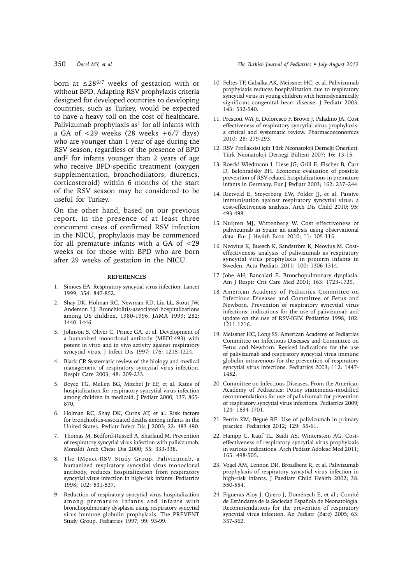born at  $\leq 28^{6/7}$  weeks of gestation with or without BPD. Adapting RSV prophylaxis criteria designed for developed countries to developing countries, such as Turkey, would be expected to have a heavy toll on the cost of healthcare. Palivizumab prophylaxis as<sup>1</sup> for all infants with a GA of  $\langle 29 \rangle$  weeks  $(28 \rangle$  weeks  $+6/7 \rangle$  days) who are younger than 1 year of age during the RSV season, regardless of the presence of BPD and2 for infants younger than 2 years of age who receive BPD-specific treatment (oxygen supplementation, bronchodilators, diuretics, corticosteroid) within 6 months of the start of the RSV season may be considered to be useful for Turkey.

On the other hand, based on our previous report, in the presence of at least three concurrent cases of confirmed RSV infection in the NICU, prophylaxis may be commenced for all premature infants with a GA of <29 weeks or for those with BPD who are born after 29 weeks of gestation in the NICU.

#### **REFERENCES**

- 1. Simoes EA. Respiratory syncytial virus infection. Lancet 1999; 354: 847-852.
- 2. Shay DK, Holman RC, Newman RD, Liu LL, Stout JW, Anderson LJ. Bronchiolitis-associated hospitalizations among US children, 1980-1996. JAMA 1999; 282: 1440–1446.
- 3. Johnson S, Oliver C, Prince GA, et al. Development of a humanized monoclonal antibody (MEDI-493) with potent in vitro and in vivo activity against respiratory syncytial virus. J Infect Dis 1997; 176: 1215-1224.
- 4. Black CP. Systematic review of the biology and medical management of respiratory syncytial virus infection. Respir Care 2003; 48: 209-233.
- 5. Boyce TG, Mellen BG, Mitchel Jr EF, et al. Rates of hospitalization for respiratory syncytial virus infection among children in medicaid. J Pediatr 2000; 137: 865- 870.
- 6. Holman RC, Shay DK, Curns AT, et al. Risk factors for bronchiolitis-associated deaths among infants in the United States. Pediatr Infect Dis J 2003; 22: 483-490.
- 7. Thomas M, Bedford-Russell A, Sharland M. Prevention of respiratory syncytial virus infection with palivizumab. Monaldi Arch Chest Dis 2000; 55: 333-338.
- 8. The IMpact-RSV Study Group. Palivizumab, a humanized respiratory syncytial virus monoclonal antibody, reduces hospitalization from respiratory syncytial virus infection in high-risk infants. Pediatrics 1998; 102: 531-537.
- 9. Reduction of respiratory syncytial virus hospitalization among premature infants and infants with bronchopulmonary dysplasia using respiratory syncytial virus immune globulin prophylaxis. The PREVENT Study Group. Pediatrics 1997; 99: 93-99.

#### 350 *Öncel MY, et al The Turkish Journal of Pediatrics • July-August 2012*

- 10. Feltes TF, Cabalka AK, Meissner HC, et al. Palivizumab prophylaxis reduces hospitalization due to respiratory syncytial virus in young children with hemodynamically significant congenital heart disease. J Pediatr 2003; 143: 532-540.
- 11. Prescott WA Jr, Doloresco F, Brown J, Paladino JA. Cost effectiveness of respiratory syncytial virus prophylaxis: a critical and systematic review. Pharmacoeconomics 2010; 28: 279-293.
- 12. RSV Proflaksisi için Türk Neonatoloji Derneği Önerileri. Türk Neonatoloji Derneği Bülteni 2007; 16: 13-15.
- 13. Roeckl-Wiedmann I, Liese JG, Grill E, Fischer B, Carr D, Belohradsky BH. Economic evaluation of possible prevention of RSV-related hospitalizations in premature infants in Germany. Eur J Pediatr 2003; 162: 237–244.
- 14. Rietveld E, Steyerberg EW, Polder JJ, et al. Passive immunisation against respiratory syncytial virus: a cost-effectiveness analysis. Arch Dis Child 2010; 95: 493-498.
- 15. Nuijten MJ, Wittenberg W. Cost effectiveness of palivizumab in Spain: an analysis using observational data. Eur J Health Econ 2010; 11: 105-115.
- 16. Neovius K, Buesch K, Sandström K, Neovius M. Costeffectiveness analysis of palivizumab as respiratory syncytial virus prophylaxis in preterm infants in Sweden. Acta Pædiatr 2011; 100: 1306-1314.
- 17. Jobe AH, Bancalari E. Bronchopulmonary dysplasia. Am J Respir Crit Care Med 2001; 163: 1723-1729.
- 18. American Academy of Pediatrics Committee on Infectious Diseases and Committee of Fetus and Newborn. Prevention of respiratory syncytial virus infections: indications for the use of palivizumab and update on the use of RSV-IGIV. Pediatrics 1998; 102: 1211-1216.
- 19. Meissner HC, Long SS; American Academy of Pediatrics Committee on Infectious Diseases and Committee on Fetus and Newborn. Revised indications for the use of palivizumab and respiratory syncytial virus immune globulin intravenous for the prevention of respiratory syncytial virus infections. Pediatrics 2003; 112: 1447- 1452.
- 20. Committee on Infectious Diseases. From the American Academy of Pediatrics: Policy statements-modified recommendations for use of palivizumab for prevention of respiratory syncytial virus infections. Pediatrics 2009; 124: 1694-1701.
- 21. Perrin KM, Bégué RE. Use of palivizumab in primary practice. Pediatrics 2012; 129: 55-61.
- 22. Hampp C, Kauf TL, Saidi AS, Winterstein AG. Costeffectiveness of respiratory syncytial virus prophylaxis in various indications. Arch Pediatr Adolesc Med 2011; 165: 498-505.
- 23. Vogel AM, Lennon DR, Broadbent R, et al. Palivizumab prophylaxis of respiratory syncytial virus infection in high-risk infants. J Paediatr Child Health 2002; 38: 550-554.
- 24. Figueras Aloy J, Quero J, Doménech E, et al.; Comité de Estándares de la Sociedad Española de Neonatología. Recommendations for the prevention of respiratory syncytial virus infection. An Pediatr (Barc) 2005; 63: 357-362.